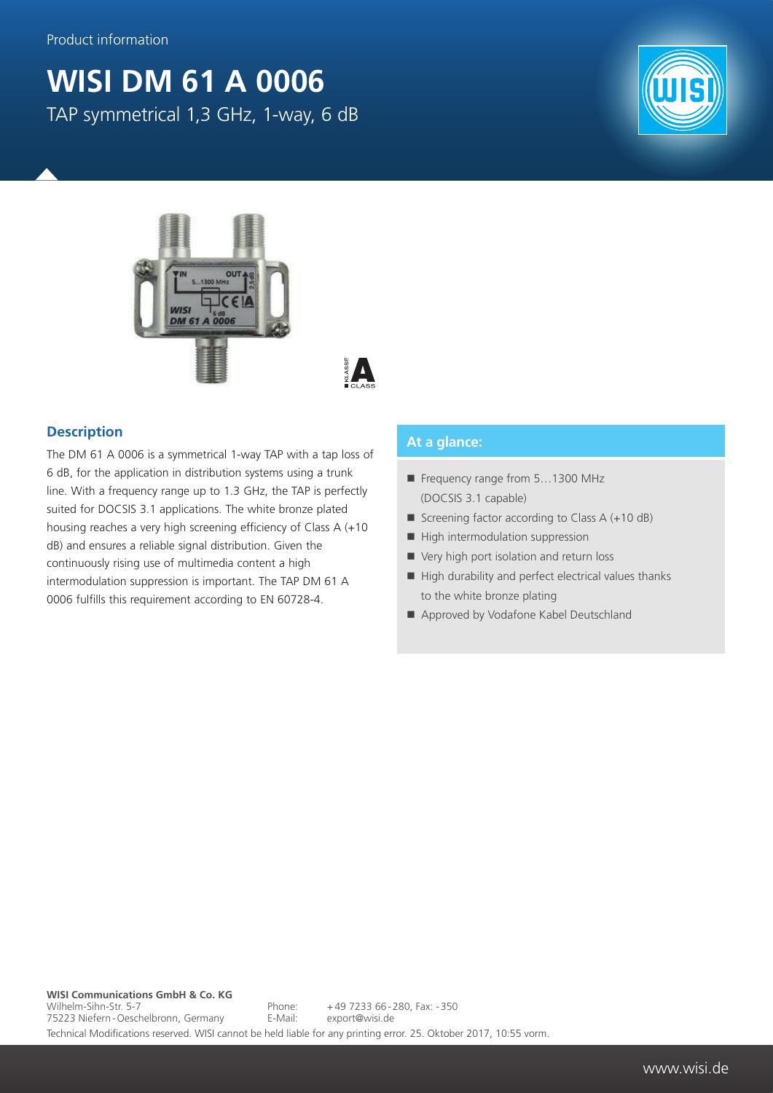## **WISI DM 61 A 0006** TAP symmetrical 1,3 GHz, 1-way, 6 dB







## **Description**

The DM 61 A 0006 is a symmetrical 1-way TAP with a tap loss of 6 dB, for the application in distribution systems using a trunk line. With a frequency range up to 1.3 GHz, the TAP is perfectly suited for DOCSIS 3.1 applications. The white bronze plated housing reaches a very high screening efficiency of Class A (+10 dB) and ensures a reliable signal distribution. Given the continuously rising use of multimedia content a high intermodulation suppression is important. The TAP DM 61 A 0006 fulfills this requirement according to EN 60728-4.

## **At a glance:**

- Frequency range from 5...1300 MHz (DOCSIS 3.1 capable)
- Screening factor according to Class  $A (+10 dB)$
- $\blacksquare$  High intermodulation suppression
- Very high port isolation and return loss
- $\blacksquare$  High durability and perfect electrical values thanks to the white bronze plating
- Approved by Vodafone Kabel Deutschland